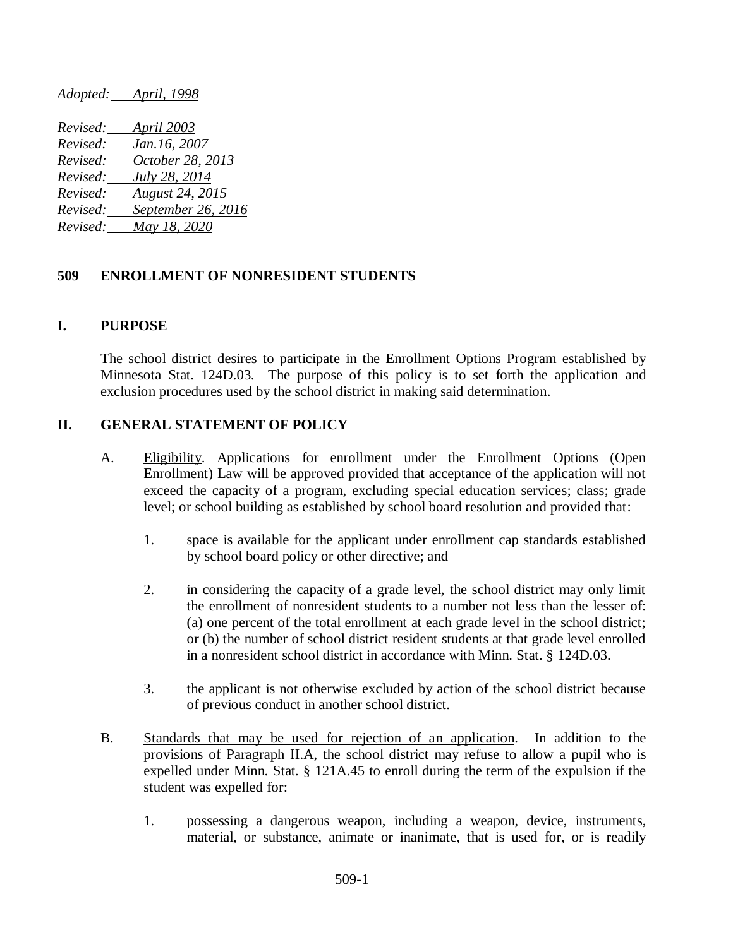*Revised: April 2003 Revised: Jan.16, 2007 Revised: October 28, 2013 Revised: July 28, 2014 Revised: August 24, 2015 Revised: September 26, 2016 Revised: May 18, 2020*

*Adopted: April, 1998*

## **509 ENROLLMENT OF NONRESIDENT STUDENTS**

### **I. PURPOSE**

The school district desires to participate in the Enrollment Options Program established by Minnesota Stat. 124D.03. The purpose of this policy is to set forth the application and exclusion procedures used by the school district in making said determination.

## **II. GENERAL STATEMENT OF POLICY**

- A. Eligibility. Applications for enrollment under the Enrollment Options (Open Enrollment) Law will be approved provided that acceptance of the application will not exceed the capacity of a program, excluding special education services; class; grade level; or school building as established by school board resolution and provided that:
	- 1. space is available for the applicant under enrollment cap standards established by school board policy or other directive; and
	- 2. in considering the capacity of a grade level, the school district may only limit the enrollment of nonresident students to a number not less than the lesser of: (a) one percent of the total enrollment at each grade level in the school district; or (b) the number of school district resident students at that grade level enrolled in a nonresident school district in accordance with Minn. Stat. § 124D.03.
	- 3. the applicant is not otherwise excluded by action of the school district because of previous conduct in another school district.
- B. Standards that may be used for rejection of an application. In addition to the provisions of Paragraph II.A, the school district may refuse to allow a pupil who is expelled under Minn. Stat. § 121A.45 to enroll during the term of the expulsion if the student was expelled for:
	- 1. possessing a dangerous weapon, including a weapon, device, instruments, material, or substance, animate or inanimate, that is used for, or is readily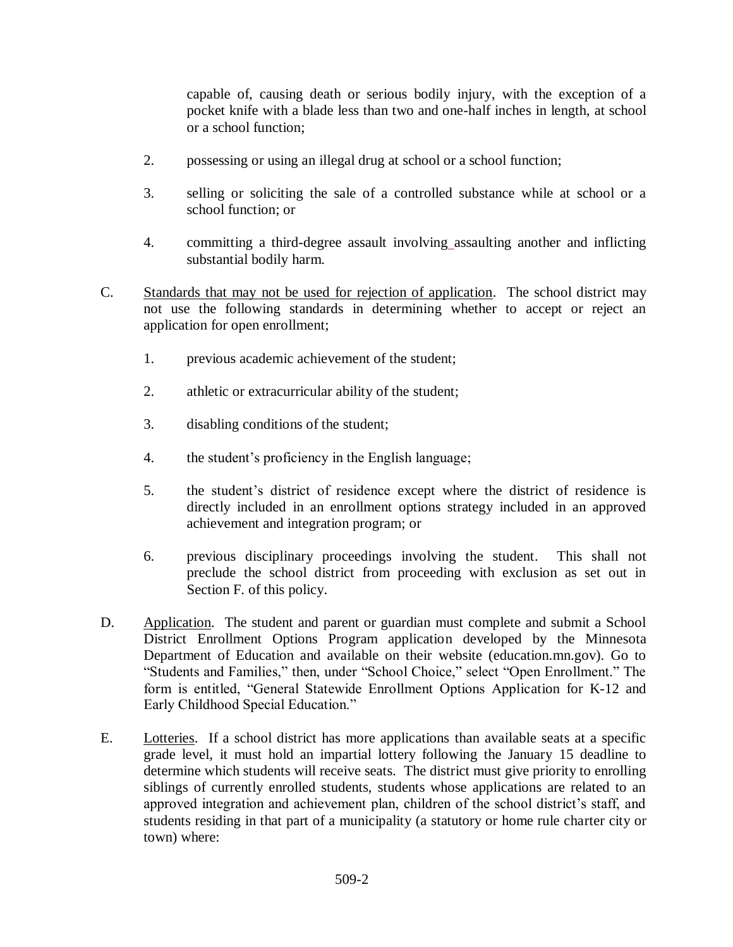capable of, causing death or serious bodily injury, with the exception of a pocket knife with a blade less than two and one-half inches in length, at school or a school function;

- 2. possessing or using an illegal drug at school or a school function;
- 3. selling or soliciting the sale of a controlled substance while at school or a school function; or
- 4. committing a third-degree assault involving assaulting another and inflicting substantial bodily harm.
- C. Standards that may not be used for rejection of application. The school district may not use the following standards in determining whether to accept or reject an application for open enrollment;
	- 1. previous academic achievement of the student;
	- 2. athletic or extracurricular ability of the student;
	- 3. disabling conditions of the student;
	- 4. the student's proficiency in the English language;
	- 5. the student's district of residence except where the district of residence is directly included in an enrollment options strategy included in an approved achievement and integration program; or
	- 6. previous disciplinary proceedings involving the student. This shall not preclude the school district from proceeding with exclusion as set out in Section F. of this policy.
- D. Application. The student and parent or guardian must complete and submit a School District Enrollment Options Program application developed by the Minnesota Department of Education and available on their website (education.mn.gov). Go to "Students and Families," then, under "School Choice," select "Open Enrollment." The form is entitled, "General Statewide Enrollment Options Application for K-12 and Early Childhood Special Education."
- E. Lotteries. If a school district has more applications than available seats at a specific grade level, it must hold an impartial lottery following the January 15 deadline to determine which students will receive seats. The district must give priority to enrolling siblings of currently enrolled students, students whose applications are related to an approved integration and achievement plan, children of the school district's staff, and students residing in that part of a municipality (a statutory or home rule charter city or town) where: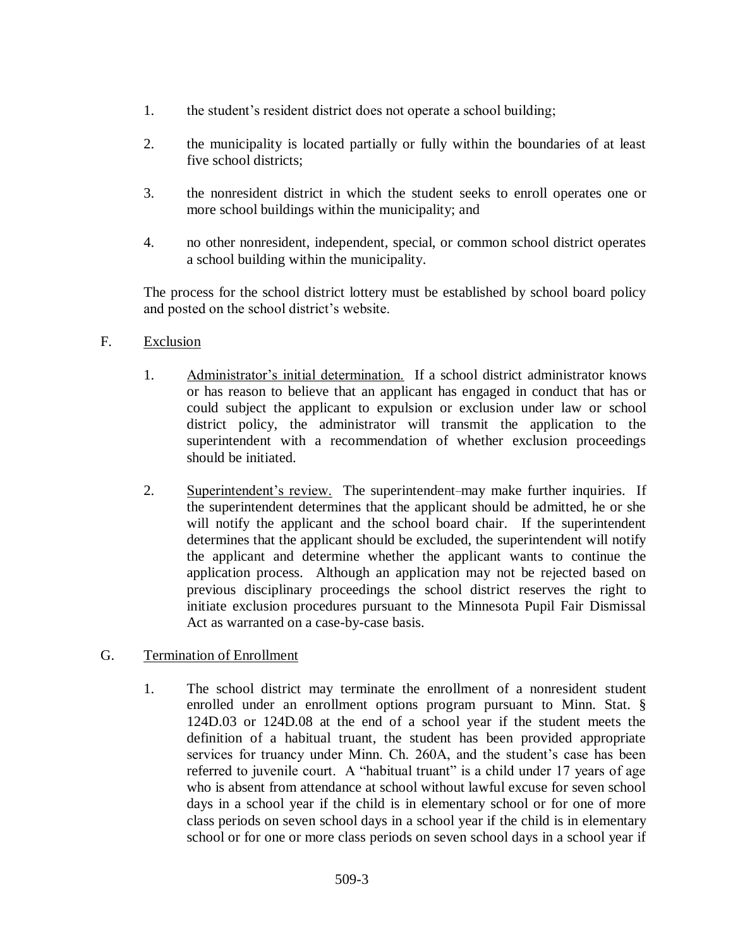- 1. the student's resident district does not operate a school building;
- 2. the municipality is located partially or fully within the boundaries of at least five school districts;
- 3. the nonresident district in which the student seeks to enroll operates one or more school buildings within the municipality; and
- 4. no other nonresident, independent, special, or common school district operates a school building within the municipality.

The process for the school district lottery must be established by school board policy and posted on the school district's website.

# F. Exclusion

- 1. Administrator's initial determination. If a school district administrator knows or has reason to believe that an applicant has engaged in conduct that has or could subject the applicant to expulsion or exclusion under law or school district policy, the administrator will transmit the application to the superintendent with a recommendation of whether exclusion proceedings should be initiated.
- 2. Superintendent's review. The superintendent-may make further inquiries. If the superintendent determines that the applicant should be admitted, he or she will notify the applicant and the school board chair. If the superintendent determines that the applicant should be excluded, the superintendent will notify the applicant and determine whether the applicant wants to continue the application process. Although an application may not be rejected based on previous disciplinary proceedings the school district reserves the right to initiate exclusion procedures pursuant to the Minnesota Pupil Fair Dismissal Act as warranted on a case-by-case basis.

# G. Termination of Enrollment

1. The school district may terminate the enrollment of a nonresident student enrolled under an enrollment options program pursuant to Minn. Stat. § 124D.03 or 124D.08 at the end of a school year if the student meets the definition of a habitual truant, the student has been provided appropriate services for truancy under Minn. Ch. 260A, and the student's case has been referred to juvenile court. A "habitual truant" is a child under 17 years of age who is absent from attendance at school without lawful excuse for seven school days in a school year if the child is in elementary school or for one of more class periods on seven school days in a school year if the child is in elementary school or for one or more class periods on seven school days in a school year if